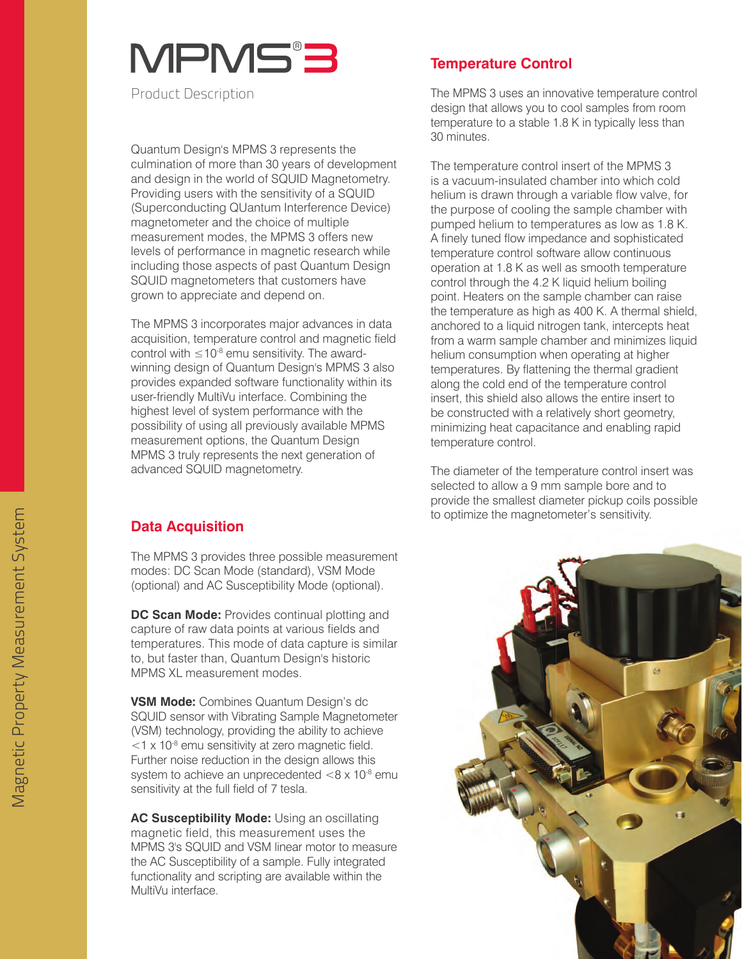# MPMS'3

Product Description

Quantum Design's MPMS 3 represents the culmination of more than 30 years of development and design in the world of SQUID Magnetometry. Providing users with the sensitivity of a SQUID (Superconducting QUantum Interference Device) magnetometer and the choice of multiple measurement modes, the MPMS 3 offers new levels of performance in magnetic research while including those aspects of past Quantum Design SQUID magnetometers that customers have grown to appreciate and depend on.

The MPMS 3 incorporates major advances in data acquisition, temperature control and magnetic field control with  $\leq 10^{-8}$  emu sensitivity. The awardwinning design of Quantum Design's MPMS 3 also provides expanded software functionality within its user-friendly MultiVu interface. Combining the highest level of system performance with the possibility of using all previously available MPMS measurement options, the Quantum Design MPMS 3 truly represents the next generation of advanced SQUID magnetometry.

### **Data Acquisition**

The MPMS 3 provides three possible measurement modes: DC Scan Mode (standard), VSM Mode (optional) and AC Susceptibility Mode (optional).

**DC Scan Mode:** Provides continual plotting and capture of raw data points at various fields and temperatures. This mode of data capture is similar to, but faster than, Quantum Design's historic MPMS XL measurement modes.

**VSM Mode:** Combines Quantum Design's dc SQUID sensor with Vibrating Sample Magnetometer (VSM) technology, providing the ability to achieve  $<$ 1 x 10 $^8$  emu sensitivity at zero magnetic field. Further noise reduction in the design allows this system to achieve an unprecedented  $< 8 \times 10^{-8}$  emu sensitivity at the full field of 7 tesla.

**AC Susceptibility Mode:** Using an oscillating magnetic field, this measurement uses the MPMS 3's SQUID and VSM linear motor to measure the AC Susceptibility of a sample. Fully integrated functionality and scripting are available within the MultiVu interface.

#### **Temperature Control**

The MPMS 3 uses an innovative temperature control design that allows you to cool samples from room temperature to a stable 1.8 K in typically less than 30 minutes.

The temperature control insert of the MPMS 3 is a vacuum-insulated chamber into which cold helium is drawn through a variable flow valve, for the purpose of cooling the sample chamber with pumped helium to temperatures as low as 1.8 K. A finely tuned flow impedance and sophisticated temperature control software allow continuous operation at 1.8 K as well as smooth temperature control through the 4.2 K liquid helium boiling point. Heaters on the sample chamber can raise the temperature as high as 400 K. A thermal shield, anchored to a liquid nitrogen tank, intercepts heat from a warm sample chamber and minimizes liquid helium consumption when operating at higher temperatures. By flattening the thermal gradient along the cold end of the temperature control insert, this shield also allows the entire insert to be constructed with a relatively short geometry, minimizing heat capacitance and enabling rapid temperature control.

The diameter of the temperature control insert was selected to allow a 9 mm sample bore and to provide the smallest diameter pickup coils possible to optimize the magnetometer's sensitivity.

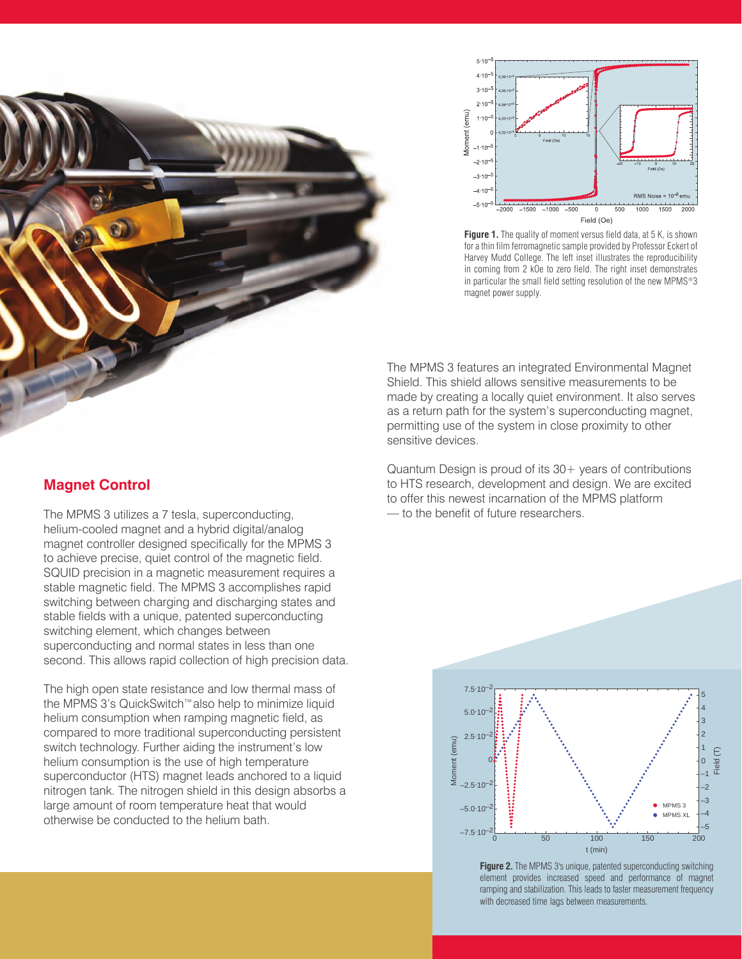



Figure 1. The quality of moment versus field data, at 5 K, is shown for a thin film ferromagnetic sample provided by Professor Eckert of Harvey Mudd College. The left inset illustrates the reproducibility in coming from 2 kOe to zero field. The right inset demonstrates in particular the small field setting resolution of the new MPMS®3 magnet power supply.

The MPMS 3 features an integrated Environmental Magnet MP Shield. This shield allows sensitive measurements to be made by creating a locally quiet environment. It also serves made b as a return path for the system's superconducting magnet, permitting use of the system in close proximity to other permitt sensitive devices. sensitiv

Quantum Design is proud of its 30+ years of contributions to HTS research, development and design. We are excited to offer this newest incarnation of the MPMS platform — to the benefit of future researchers.



#### **Figure 2.** The MPMS 3's unique, patented superconducting switching element provides increased speed and performance of magnet ramping and stabilization. This leads to faster measurement frequency with decreased time lags between measurements.

#### **Magnet Control**

The MPMS 3 utilizes a 7 tesla, superconducting, helium-cooled magnet and a hybrid digital/analog magnet controller designed specifically for the MPMS 3 to achieve precise, quiet control of the magnetic field. SQUID precision in a magnetic measurement requires a stable magnetic field. The MPMS 3 accomplishes rapid switching between charging and discharging states and stable fields with a unique, patented superconducting switching element, which changes between superconducting and normal states in less than one second. This allows rapid collection of high precision data.

The high open state resistance and low thermal mass of the MPMS 3's QuickSwitch™also help to minimize liquid helium consumption when ramping magnetic field, as compared to more traditional superconducting persistent switch technology. Further aiding the instrument's low helium consumption is the use of high temperature superconductor (HTS) magnet leads anchored to a liquid nitrogen tank. The nitrogen shield in this design absorbs a large amount of room temperature heat that would otherwise be conducted to the helium bath.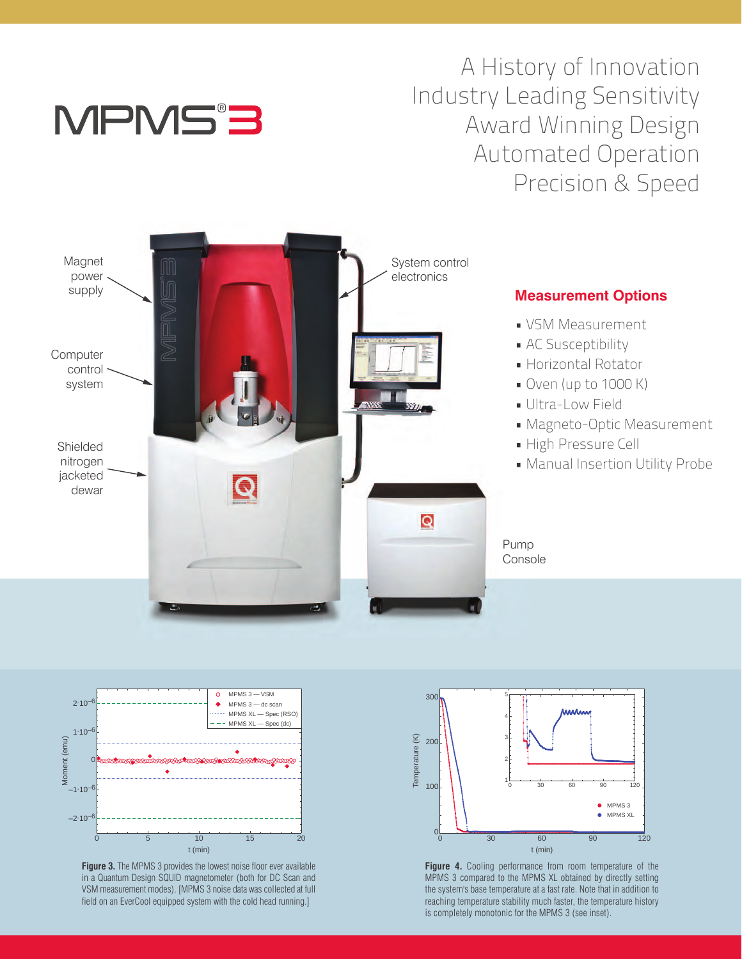

# A History of Innovation Industry Leading Sensitivity Award Winning Design Automated Operation Precision & Speed





**Figure 3.** The MPMS 3 provides the lowest noise floor ever available in a Quantum Design SQUID magnetometer (both for DC Scan and VSM measurement modes). [MPMS 3 noise data was collected at full field on an EverCool equipped system with the cold head running.]



**Figure 4.** Cooling performance from room temperature of the MPMS 3 compared to the MPMS XL obtained by directly setting the system's base temperature at a fast rate. Note that in addition to reaching temperature stability much faster, the temperature history is completely monotonic for the MPMS 3 (see inset).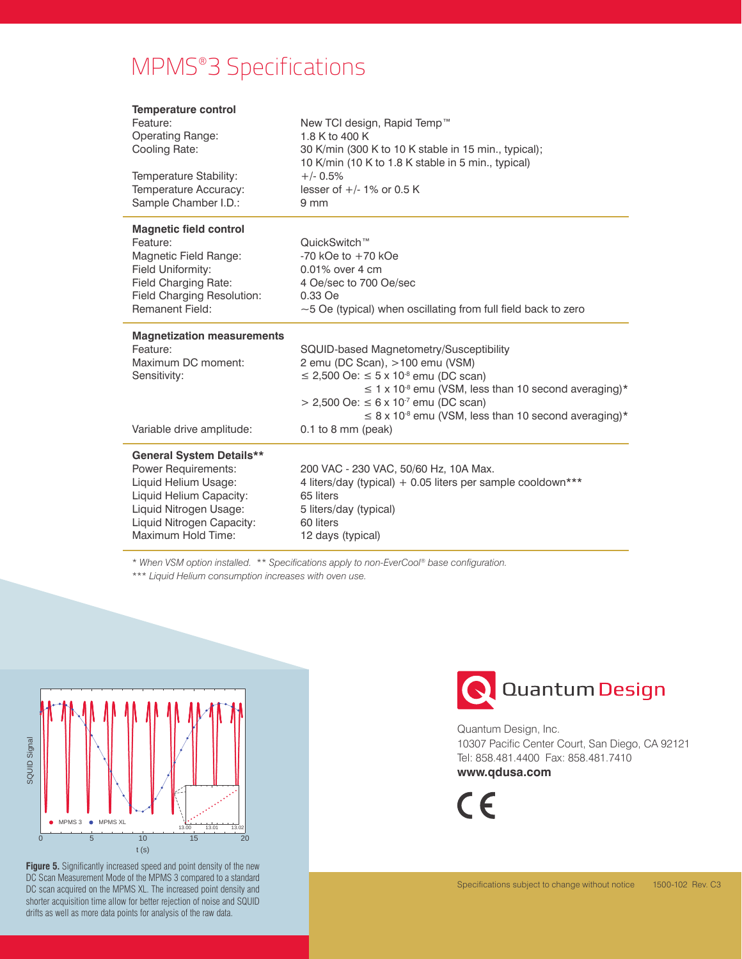# MPMS®3 Specifications

| <b>Temperature control</b>                      |                                                                       |
|-------------------------------------------------|-----------------------------------------------------------------------|
| Feature:                                        | New TCI design, Rapid Temp™                                           |
| <b>Operating Range:</b>                         | 1.8 K to 400 K                                                        |
| Cooling Rate:                                   | 30 K/min (300 K to 10 K stable in 15 min., typical);                  |
|                                                 | 10 K/min (10 K to 1.8 K stable in 5 min., typical)                    |
| Temperature Stability:                          | $+/- 0.5%$                                                            |
| Temperature Accuracy:                           | lesser of $+/-1\%$ or 0.5 K                                           |
| Sample Chamber I.D.:                            | 9 <sub>mm</sub>                                                       |
| <b>Magnetic field control</b>                   |                                                                       |
| Feature:                                        | QuickSwitch™                                                          |
| Magnetic Field Range:                           | $-70$ kOe to $+70$ kOe                                                |
| Field Uniformity:                               | 0.01% over 4 cm                                                       |
| Field Charging Rate:                            | 4 Oe/sec to 700 Oe/sec                                                |
| Field Charging Resolution:                      | 0.33 Oe                                                               |
| Remanent Field:                                 | $\sim$ 5 Oe (typical) when oscillating from full field back to zero   |
|                                                 |                                                                       |
| <b>Magnetization measurements</b>               |                                                                       |
| Feature:                                        | SQUID-based Magnetometry/Susceptibility                               |
| Maximum DC moment:                              | 2 emu (DC Scan), >100 emu (VSM)                                       |
| Sensitivity:                                    | ≤ 2,500 Oe: $\leq$ 5 x 10 <sup>-8</sup> emu (DC scan)                 |
|                                                 | $\leq$ 1 x 10 <sup>-8</sup> emu (VSM, less than 10 second averaging)* |
|                                                 | > 2,500 Oe: ≤ 6 x 10 <sup>-7</sup> emu (DC scan)                      |
|                                                 | $\leq$ 8 x 10 <sup>-8</sup> emu (VSM, less than 10 second averaging)* |
| Variable drive amplitude:                       | $0.1$ to 8 mm (peak)                                                  |
| <b>General System Details**</b>                 |                                                                       |
| <b>Power Requirements:</b>                      | 200 VAC - 230 VAC, 50/60 Hz, 10A Max.                                 |
| Liquid Helium Usage:                            | 4 liters/day (typical) + 0.05 liters per sample cooldown***           |
| Liquid Helium Capacity:                         | 65 liters                                                             |
| Liquid Nitrogen Usage:                          | 5 liters/day (typical)                                                |
| Liquid Nitrogen Capacity:<br>Maximum Hold Time: | 60 liters                                                             |

\* *When VSM option installed.* \*\* *Specifications apply to non-EverCool® base configuration.* 

\*\*\* *Liquid Helium consumption increases with oven use.*



**Figure 5.** Significantly increased speed and point density of the new DC Scan Measurement Mode of the MPMS 3 compared to a standard DC scan acquired on the MPMS XL. The increased point density and shorter acquisition time allow for better rejection of noise and SQUID drifts as well as more data points for analysis of the raw data.



Quantum Design, Inc. 10307 Pacific Center Court, San Diego, CA 92121 Tel: 858.481.4400 Fax: 858.481.7410 **www.qdusa.com**

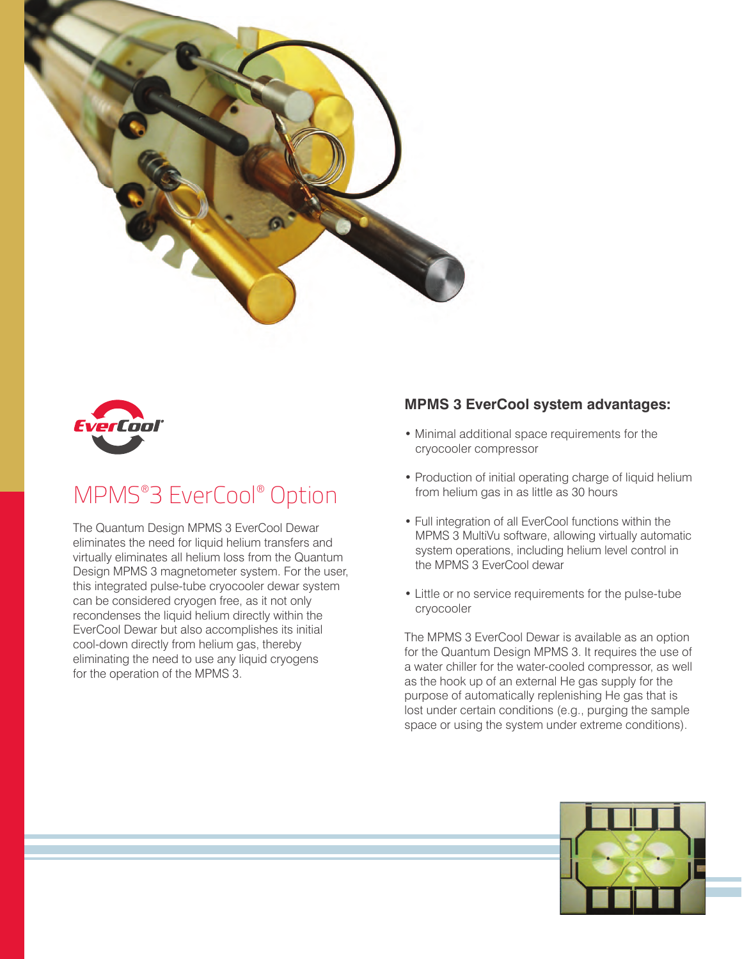



# MPMS®3 EverCool® Option

The Quantum Design MPMS 3 EverCool Dewar eliminates the need for liquid helium transfers and virtually eliminates all helium loss from the Quantum Design MPMS 3 magnetometer system. For the user, this integrated pulse-tube cryocooler dewar system can be considered cryogen free, as it not only recondenses the liquid helium directly within the EverCool Dewar but also accomplishes its initial cool-down directly from helium gas, thereby eliminating the need to use any liquid cryogens for the operation of the MPMS 3.

#### **MPMS 3 EverCool system advantages:**

- Minimal additional space requirements for the cryocooler compressor
- Production of initial operating charge of liquid helium from helium gas in as little as 30 hours
- Full integration of all EverCool functions within the MPMS 3 MultiVu software, allowing virtually automatic system operations, including helium level control in the MPMS 3 EverCool dewar
- Little or no service requirements for the pulse-tube cryocooler

The MPMS 3 EverCool Dewar is available as an option for the Quantum Design MPMS 3. It requires the use of a water chiller for the water-cooled compressor, as well as the hook up of an external He gas supply for the purpose of automatically replenishing He gas that is lost under certain conditions (e.g., purging the sample space or using the system under extreme conditions).